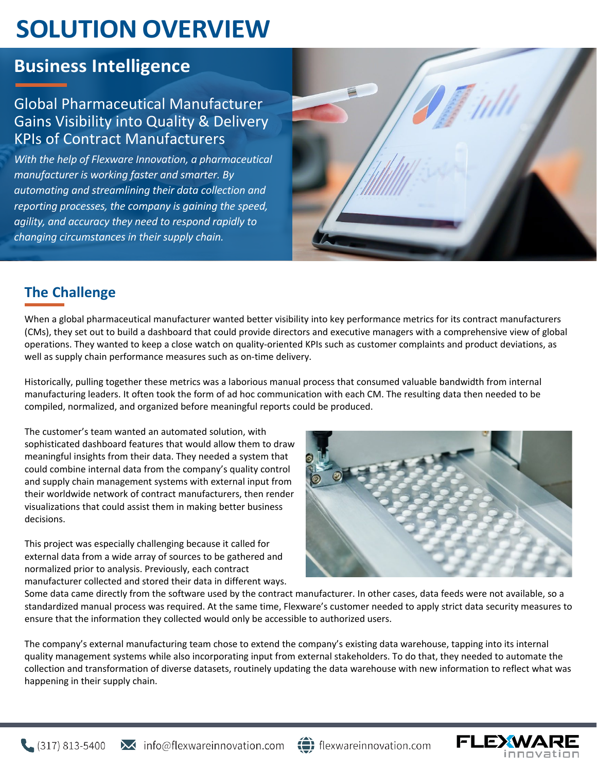# **SOLUTION OVERVIEW**

## **Business Intelligence**

#### Global Pharmaceutical Manufacturer Gains Visibility into Quality & Delivery KPIs of Contract Manufacturers

*With the help of Flexware Innovation, a pharmaceutical manufacturer is working faster and smarter. By automating and streamlining their data collection and reporting processes, the company is gaining the speed, agility, and accuracy they need to respond rapidly to changing circumstances in their supply chain.*



### **The Challenge**

When a global pharmaceutical manufacturer wanted better visibility into key performance metrics for its contract manufacturers (CMs), they set out to build a dashboard that could provide directors and executive managers with a comprehensive view of global operations. They wanted to keep a close watch on quality-oriented KPIs such as customer complaints and product deviations, as well as supply chain performance measures such as on-time delivery.

Historically, pulling together these metrics was a laborious manual process that consumed valuable bandwidth from internal manufacturing leaders. It often took the form of ad hoc communication with each CM. The resulting data then needed to be compiled, normalized, and organized before meaningful reports could be produced.

The customer's team wanted an automated solution, with sophisticated dashboard features that would allow them to draw meaningful insights from their data. They needed a system that could combine internal data from the company's quality control and supply chain management systems with external input from their worldwide network of contract manufacturers, then render visualizations that could assist them in making better business decisions.

This project was especially challenging because it called for external data from a wide array of sources to be gathered and normalized prior to analysis. Previously, each contract manufacturer collected and stored their data in different ways.



Some data came directly from the software used by the contract manufacturer. In other cases, data feeds were not available, so a standardized manual process was required. At the same time, Flexware's customer needed to apply strict data security measures to ensure that the information they collected would only be accessible to authorized users.

The company's external manufacturing team chose to extend the company's existing data warehouse, tapping into its internal quality management systems while also incorporating input from external stakeholders. To do that, they needed to automate the collection and transformation of diverse datasets, routinely updating the data warehouse with new information to reflect what was happening in their supply chain.